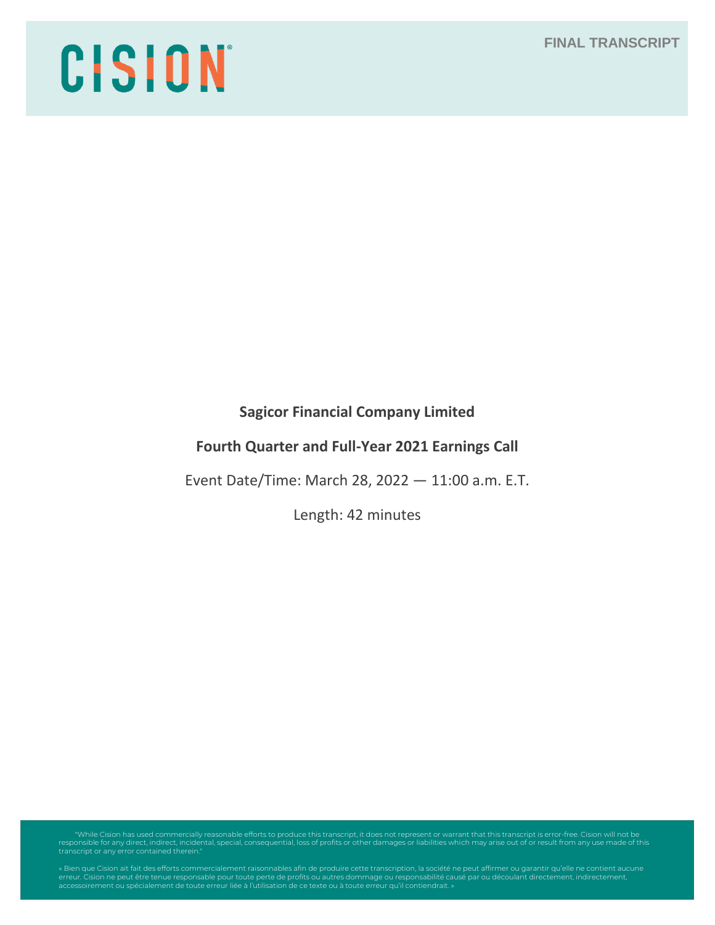**FINAL TRANSCRIPT**

# CISION

**Sagicor Financial Company Limited**

# **Fourth Quarter and Full-Year 2021 Earnings Call**

Event Date/Time: March 28, 2022 — 11:00 a.m. E.T.

Length: 42 minutes

While Cision has used commercially reasonable efforts to produce this transcript, it does not represent or warrant that this transcript is error-free. Cision will not be" (Cision will not be "Viridental, special, consequen transcript or any error contained therein."

erreur. Cision ne peut être tenue responsable pour toute perte de profits ou autres dommage ou responsabilité causé par ou découlant directement, indirectement,<br>accessoirement ou spécialement de toute erreur liée à l'utili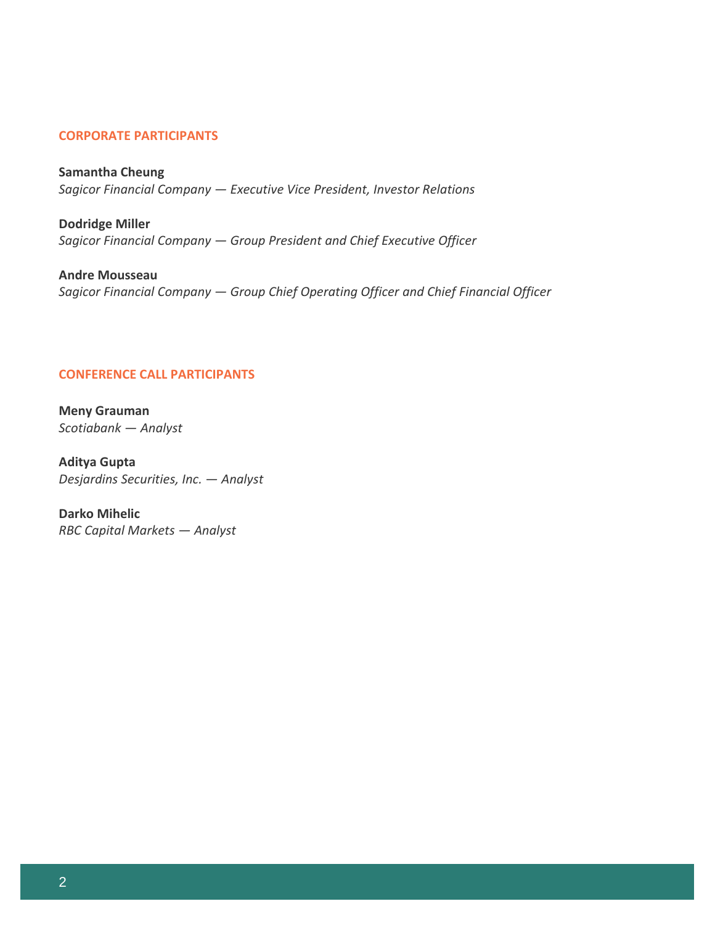# **CORPORATE PARTICIPANTS**

**Samantha Cheung** *Sagicor Financial Company — Executive Vice President, Investor Relations* 

**Dodridge Miller** *Sagicor Financial Company — Group President and Chief Executive Officer* 

**Andre Mousseau** *Sagicor Financial Company — Group Chief Operating Officer and Chief Financial Officer* 

## **CONFERENCE CALL PARTICIPANTS**

**Meny Grauman** *Scotiabank — Analyst*

**Aditya Gupta** *Desjardins Securities, Inc. — Analyst*

**Darko Mihelic** *RBC Capital Markets — Analyst*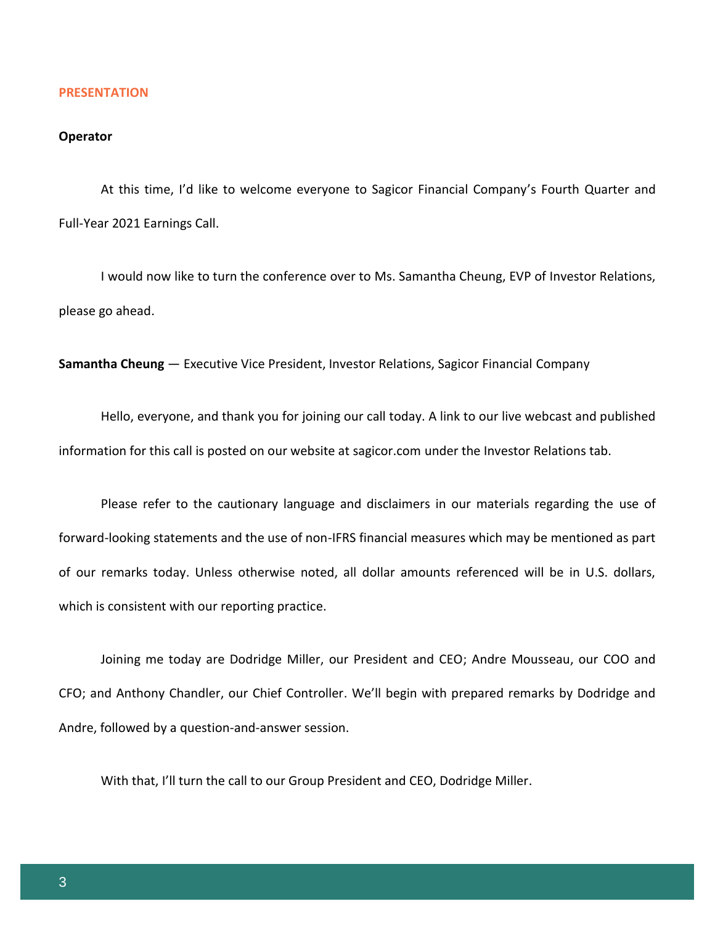### **PRESENTATION**

# **Operator**

At this time, I'd like to welcome everyone to Sagicor Financial Company's Fourth Quarter and Full-Year 2021 Earnings Call.

I would now like to turn the conference over to Ms. Samantha Cheung, EVP of Investor Relations, please go ahead.

**Samantha Cheung** — Executive Vice President, Investor Relations, Sagicor Financial Company

Hello, everyone, and thank you for joining our call today. A link to our live webcast and published information for this call is posted on our website at sagicor.com under the Investor Relations tab.

Please refer to the cautionary language and disclaimers in our materials regarding the use of forward-looking statements and the use of non-IFRS financial measures which may be mentioned as part of our remarks today. Unless otherwise noted, all dollar amounts referenced will be in U.S. dollars, which is consistent with our reporting practice.

Joining me today are Dodridge Miller, our President and CEO; Andre Mousseau, our COO and CFO; and Anthony Chandler, our Chief Controller. We'll begin with prepared remarks by Dodridge and Andre, followed by a question-and-answer session.

With that, I'll turn the call to our Group President and CEO, Dodridge Miller.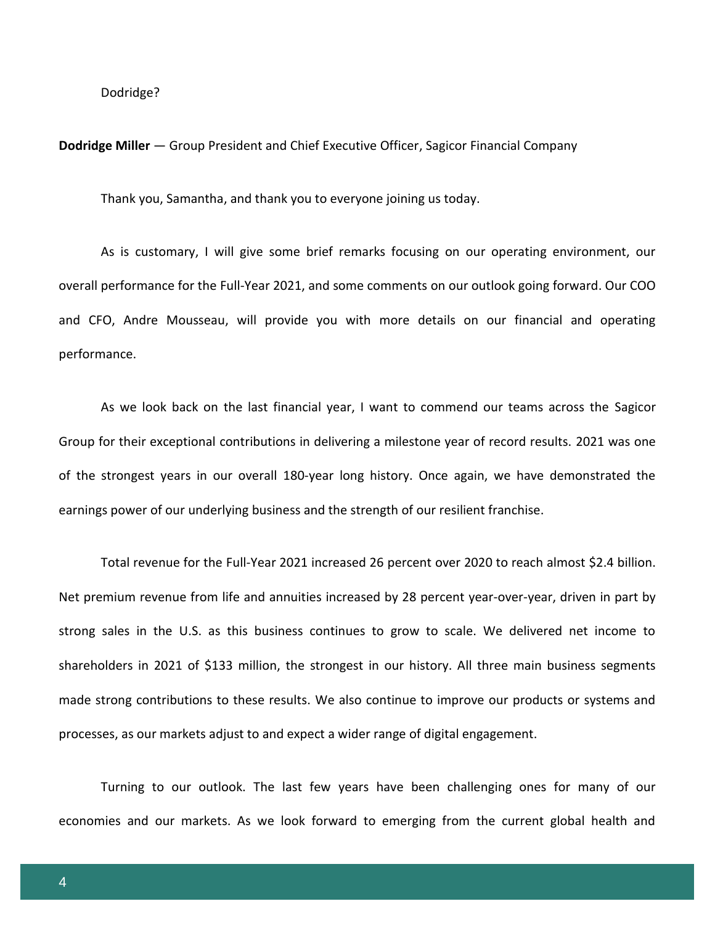### Dodridge?

### **Dodridge Miller** — Group President and Chief Executive Officer, Sagicor Financial Company

Thank you, Samantha, and thank you to everyone joining us today.

As is customary, I will give some brief remarks focusing on our operating environment, our overall performance for the Full-Year 2021, and some comments on our outlook going forward. Our COO and CFO, Andre Mousseau, will provide you with more details on our financial and operating performance.

As we look back on the last financial year, I want to commend our teams across the Sagicor Group for their exceptional contributions in delivering a milestone year of record results. 2021 was one of the strongest years in our overall 180-year long history. Once again, we have demonstrated the earnings power of our underlying business and the strength of our resilient franchise.

Total revenue for the Full-Year 2021 increased 26 percent over 2020 to reach almost \$2.4 billion. Net premium revenue from life and annuities increased by 28 percent year-over-year, driven in part by strong sales in the U.S. as this business continues to grow to scale. We delivered net income to shareholders in 2021 of \$133 million, the strongest in our history. All three main business segments made strong contributions to these results. We also continue to improve our products or systems and processes, as our markets adjust to and expect a wider range of digital engagement.

Turning to our outlook. The last few years have been challenging ones for many of our economies and our markets. As we look forward to emerging from the current global health and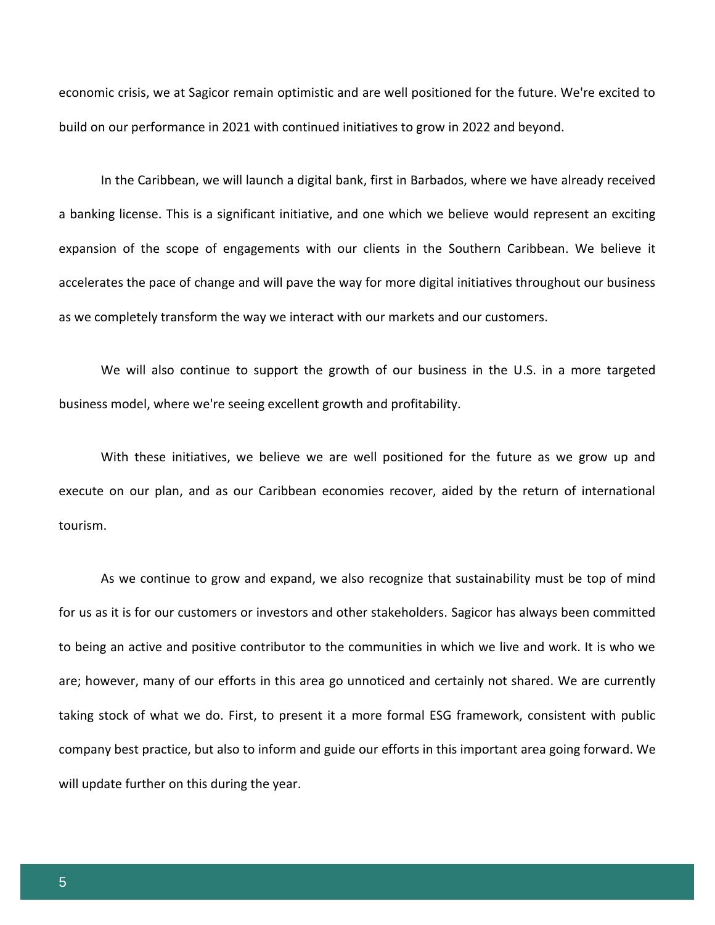economic crisis, we at Sagicor remain optimistic and are well positioned for the future. We're excited to build on our performance in 2021 with continued initiatives to grow in 2022 and beyond.

In the Caribbean, we will launch a digital bank, first in Barbados, where we have already received a banking license. This is a significant initiative, and one which we believe would represent an exciting expansion of the scope of engagements with our clients in the Southern Caribbean. We believe it accelerates the pace of change and will pave the way for more digital initiatives throughout our business as we completely transform the way we interact with our markets and our customers.

We will also continue to support the growth of our business in the U.S. in a more targeted business model, where we're seeing excellent growth and profitability.

With these initiatives, we believe we are well positioned for the future as we grow up and execute on our plan, and as our Caribbean economies recover, aided by the return of international tourism.

As we continue to grow and expand, we also recognize that sustainability must be top of mind for us as it is for our customers or investors and other stakeholders. Sagicor has always been committed to being an active and positive contributor to the communities in which we live and work. It is who we are; however, many of our efforts in this area go unnoticed and certainly not shared. We are currently taking stock of what we do. First, to present it a more formal ESG framework, consistent with public company best practice, but also to inform and guide our efforts in this important area going forward. We will update further on this during the year.

5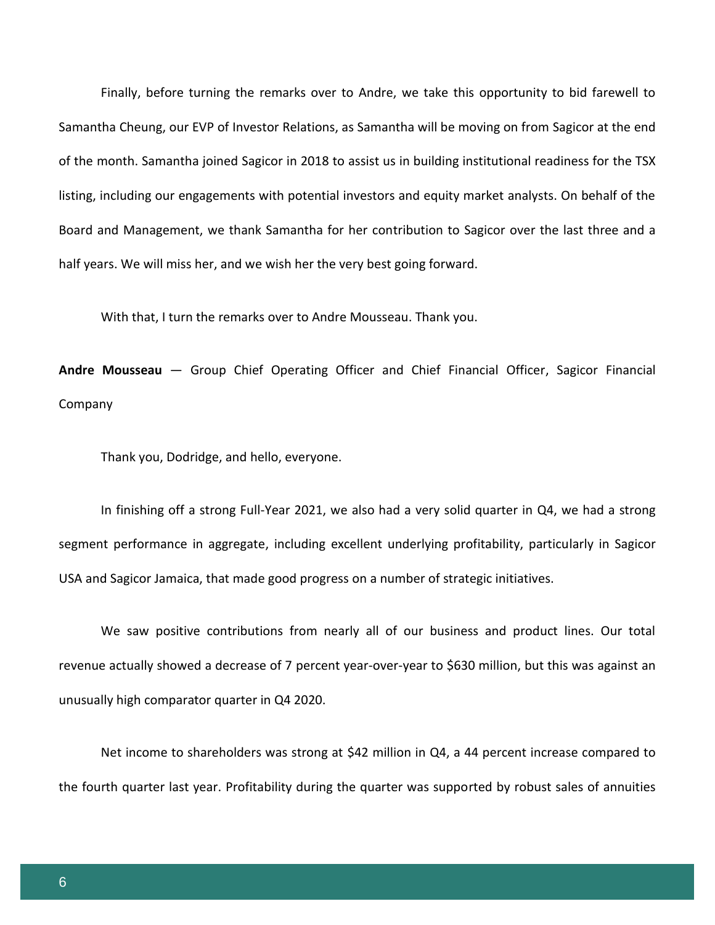Finally, before turning the remarks over to Andre, we take this opportunity to bid farewell to Samantha Cheung, our EVP of Investor Relations, as Samantha will be moving on from Sagicor at the end of the month. Samantha joined Sagicor in 2018 to assist us in building institutional readiness for the TSX listing, including our engagements with potential investors and equity market analysts. On behalf of the Board and Management, we thank Samantha for her contribution to Sagicor over the last three and a half years. We will miss her, and we wish her the very best going forward.

With that, I turn the remarks over to Andre Mousseau. Thank you.

**Andre Mousseau** — Group Chief Operating Officer and Chief Financial Officer, Sagicor Financial Company

Thank you, Dodridge, and hello, everyone.

In finishing off a strong Full-Year 2021, we also had a very solid quarter in Q4, we had a strong segment performance in aggregate, including excellent underlying profitability, particularly in Sagicor USA and Sagicor Jamaica, that made good progress on a number of strategic initiatives.

We saw positive contributions from nearly all of our business and product lines. Our total revenue actually showed a decrease of 7 percent year-over-year to \$630 million, but this was against an unusually high comparator quarter in Q4 2020.

Net income to shareholders was strong at \$42 million in Q4, a 44 percent increase compared to the fourth quarter last year. Profitability during the quarter was supported by robust sales of annuities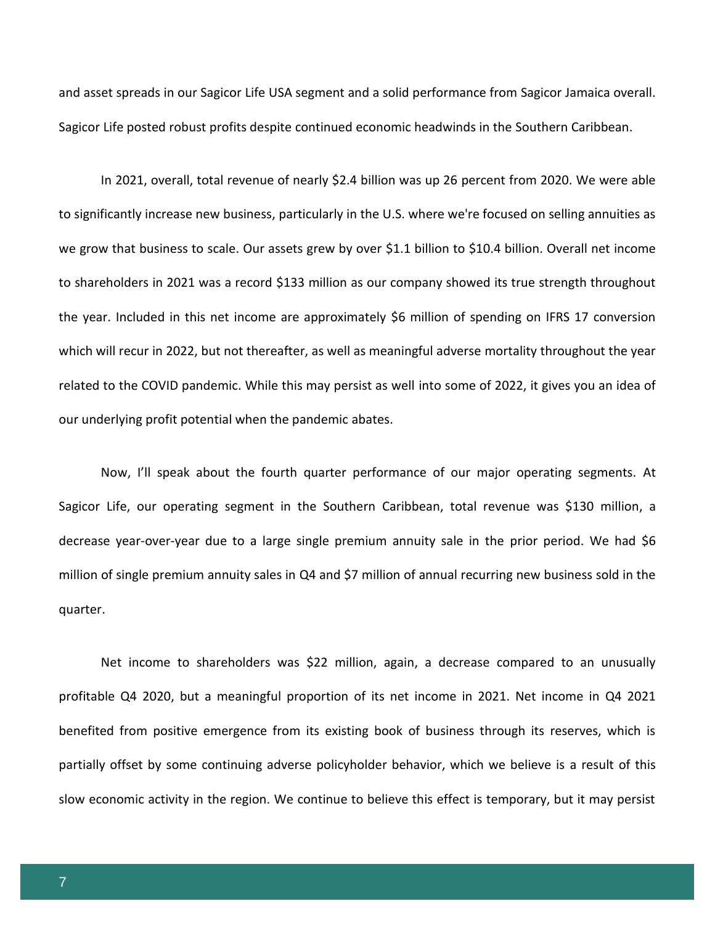and asset spreads in our Sagicor Life USA segment and a solid performance from Sagicor Jamaica overall. Sagicor Life posted robust profits despite continued economic headwinds in the Southern Caribbean.

In 2021, overall, total revenue of nearly \$2.4 billion was up 26 percent from 2020. We were able to significantly increase new business, particularly in the U.S. where we're focused on selling annuities as we grow that business to scale. Our assets grew by over \$1.1 billion to \$10.4 billion. Overall net income to shareholders in 2021 was a record \$133 million as our company showed its true strength throughout the year. Included in this net income are approximately \$6 million of spending on IFRS 17 conversion which will recur in 2022, but not thereafter, as well as meaningful adverse mortality throughout the year related to the COVID pandemic. While this may persist as well into some of 2022, it gives you an idea of our underlying profit potential when the pandemic abates.

Now, I'll speak about the fourth quarter performance of our major operating segments. At Sagicor Life, our operating segment in the Southern Caribbean, total revenue was \$130 million, a decrease year-over-year due to a large single premium annuity sale in the prior period. We had \$6 million of single premium annuity sales in Q4 and \$7 million of annual recurring new business sold in the quarter.

Net income to shareholders was \$22 million, again, a decrease compared to an unusually profitable Q4 2020, but a meaningful proportion of its net income in 2021. Net income in Q4 2021 benefited from positive emergence from its existing book of business through its reserves, which is partially offset by some continuing adverse policyholder behavior, which we believe is a result of this slow economic activity in the region. We continue to believe this effect is temporary, but it may persist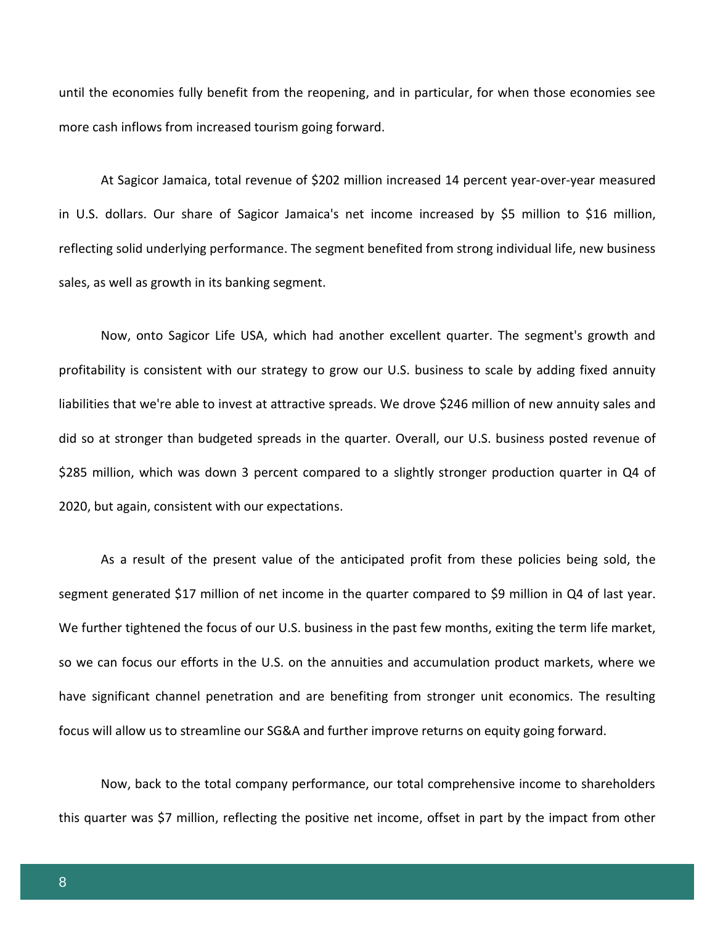until the economies fully benefit from the reopening, and in particular, for when those economies see more cash inflows from increased tourism going forward.

At Sagicor Jamaica, total revenue of \$202 million increased 14 percent year-over-year measured in U.S. dollars. Our share of Sagicor Jamaica's net income increased by \$5 million to \$16 million, reflecting solid underlying performance. The segment benefited from strong individual life, new business sales, as well as growth in its banking segment.

Now, onto Sagicor Life USA, which had another excellent quarter. The segment's growth and profitability is consistent with our strategy to grow our U.S. business to scale by adding fixed annuity liabilities that we're able to invest at attractive spreads. We drove \$246 million of new annuity sales and did so at stronger than budgeted spreads in the quarter. Overall, our U.S. business posted revenue of \$285 million, which was down 3 percent compared to a slightly stronger production quarter in Q4 of 2020, but again, consistent with our expectations.

As a result of the present value of the anticipated profit from these policies being sold, the segment generated \$17 million of net income in the quarter compared to \$9 million in Q4 of last year. We further tightened the focus of our U.S. business in the past few months, exiting the term life market, so we can focus our efforts in the U.S. on the annuities and accumulation product markets, where we have significant channel penetration and are benefiting from stronger unit economics. The resulting focus will allow us to streamline our SG&A and further improve returns on equity going forward.

Now, back to the total company performance, our total comprehensive income to shareholders this quarter was \$7 million, reflecting the positive net income, offset in part by the impact from other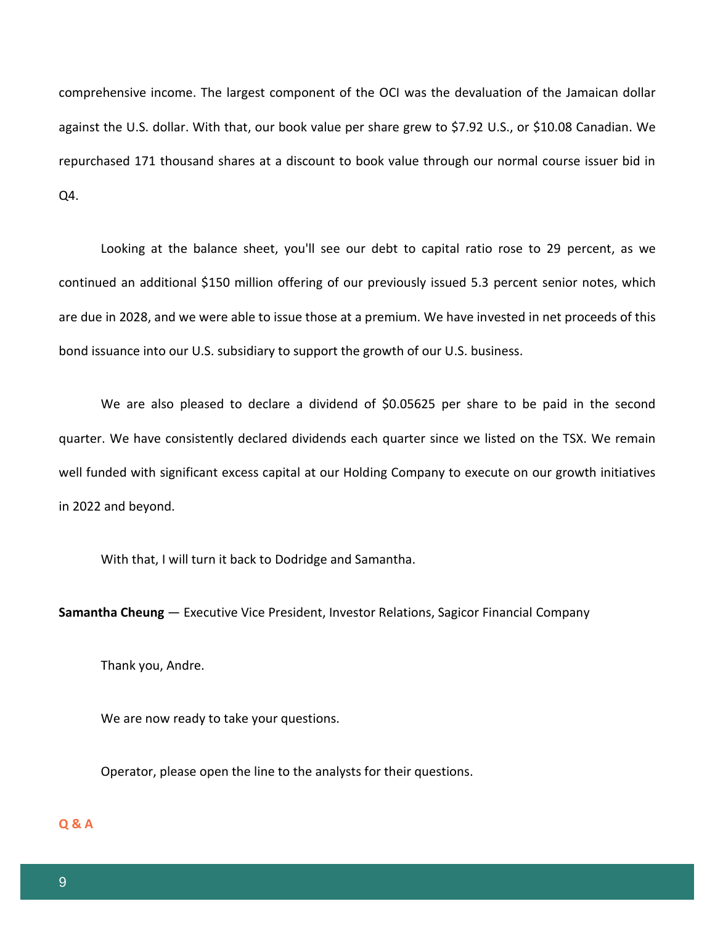comprehensive income. The largest component of the OCI was the devaluation of the Jamaican dollar against the U.S. dollar. With that, our book value per share grew to \$7.92 U.S., or \$10.08 Canadian. We repurchased 171 thousand shares at a discount to book value through our normal course issuer bid in Q4.

Looking at the balance sheet, you'll see our debt to capital ratio rose to 29 percent, as we continued an additional \$150 million offering of our previously issued 5.3 percent senior notes, which are due in 2028, and we were able to issue those at a premium. We have invested in net proceeds of this bond issuance into our U.S. subsidiary to support the growth of our U.S. business.

We are also pleased to declare a dividend of \$0.05625 per share to be paid in the second quarter. We have consistently declared dividends each quarter since we listed on the TSX. We remain well funded with significant excess capital at our Holding Company to execute on our growth initiatives in 2022 and beyond.

With that, I will turn it back to Dodridge and Samantha.

**Samantha Cheung** — Executive Vice President, Investor Relations, Sagicor Financial Company

Thank you, Andre.

We are now ready to take your questions.

Operator, please open the line to the analysts for their questions.

# **Q & A**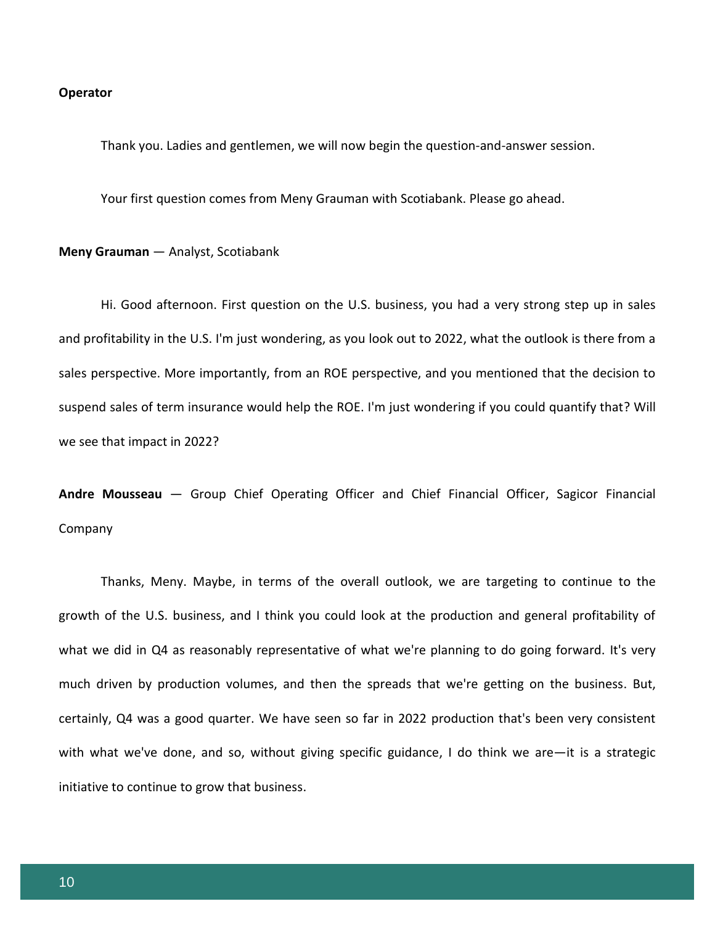### **Operator**

Thank you. Ladies and gentlemen, we will now begin the question-and-answer session.

Your first question comes from Meny Grauman with Scotiabank. Please go ahead.

**Meny Grauman** — Analyst, Scotiabank

Hi. Good afternoon. First question on the U.S. business, you had a very strong step up in sales and profitability in the U.S. I'm just wondering, as you look out to 2022, what the outlook is there from a sales perspective. More importantly, from an ROE perspective, and you mentioned that the decision to suspend sales of term insurance would help the ROE. I'm just wondering if you could quantify that? Will we see that impact in 2022?

**Andre Mousseau** — Group Chief Operating Officer and Chief Financial Officer, Sagicor Financial Company

Thanks, Meny. Maybe, in terms of the overall outlook, we are targeting to continue to the growth of the U.S. business, and I think you could look at the production and general profitability of what we did in Q4 as reasonably representative of what we're planning to do going forward. It's very much driven by production volumes, and then the spreads that we're getting on the business. But, certainly, Q4 was a good quarter. We have seen so far in 2022 production that's been very consistent with what we've done, and so, without giving specific guidance, I do think we are—it is a strategic initiative to continue to grow that business.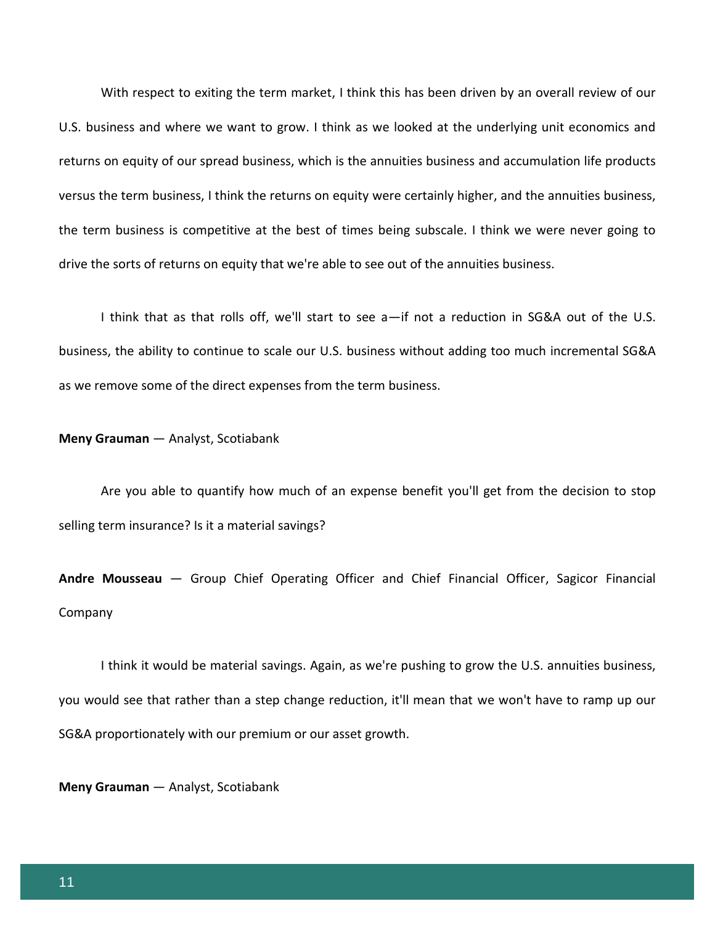With respect to exiting the term market, I think this has been driven by an overall review of our U.S. business and where we want to grow. I think as we looked at the underlying unit economics and returns on equity of our spread business, which is the annuities business and accumulation life products versus the term business, I think the returns on equity were certainly higher, and the annuities business, the term business is competitive at the best of times being subscale. I think we were never going to drive the sorts of returns on equity that we're able to see out of the annuities business.

I think that as that rolls off, we'll start to see a—if not a reduction in SG&A out of the U.S. business, the ability to continue to scale our U.S. business without adding too much incremental SG&A as we remove some of the direct expenses from the term business.

# **Meny Grauman** — Analyst, Scotiabank

Are you able to quantify how much of an expense benefit you'll get from the decision to stop selling term insurance? Is it a material savings?

**Andre Mousseau** — Group Chief Operating Officer and Chief Financial Officer, Sagicor Financial Company

I think it would be material savings. Again, as we're pushing to grow the U.S. annuities business, you would see that rather than a step change reduction, it'll mean that we won't have to ramp up our SG&A proportionately with our premium or our asset growth.

**Meny Grauman** — Analyst, Scotiabank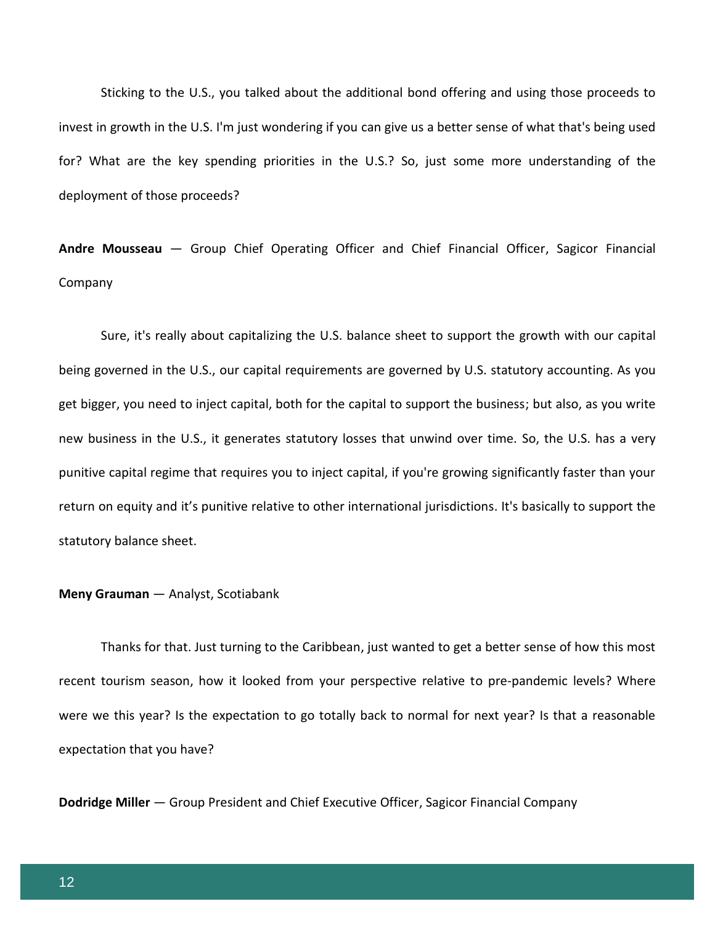Sticking to the U.S., you talked about the additional bond offering and using those proceeds to invest in growth in the U.S. I'm just wondering if you can give us a better sense of what that's being used for? What are the key spending priorities in the U.S.? So, just some more understanding of the deployment of those proceeds?

**Andre Mousseau** — Group Chief Operating Officer and Chief Financial Officer, Sagicor Financial Company

Sure, it's really about capitalizing the U.S. balance sheet to support the growth with our capital being governed in the U.S., our capital requirements are governed by U.S. statutory accounting. As you get bigger, you need to inject capital, both for the capital to support the business; but also, as you write new business in the U.S., it generates statutory losses that unwind over time. So, the U.S. has a very punitive capital regime that requires you to inject capital, if you're growing significantly faster than your return on equity and it's punitive relative to other international jurisdictions. It's basically to support the statutory balance sheet.

### **Meny Grauman** — Analyst, Scotiabank

Thanks for that. Just turning to the Caribbean, just wanted to get a better sense of how this most recent tourism season, how it looked from your perspective relative to pre-pandemic levels? Where were we this year? Is the expectation to go totally back to normal for next year? Is that a reasonable expectation that you have?

**Dodridge Miller** — Group President and Chief Executive Officer, Sagicor Financial Company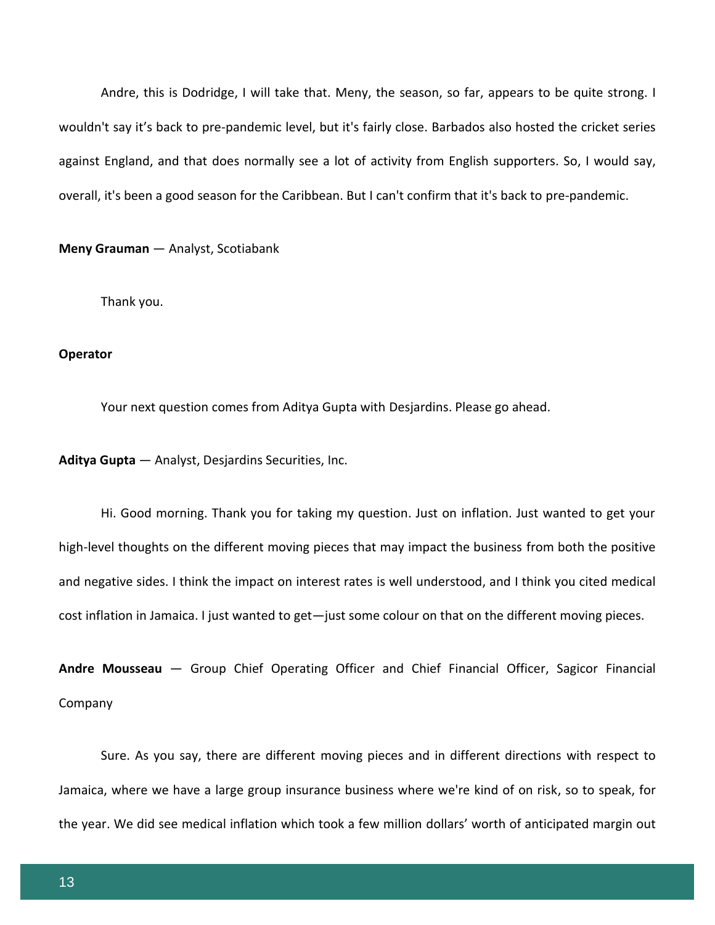Andre, this is Dodridge, I will take that. Meny, the season, so far, appears to be quite strong. I wouldn't say it's back to pre-pandemic level, but it's fairly close. Barbados also hosted the cricket series against England, and that does normally see a lot of activity from English supporters. So, I would say, overall, it's been a good season for the Caribbean. But I can't confirm that it's back to pre-pandemic.

**Meny Grauman** — Analyst, Scotiabank

Thank you.

### **Operator**

Your next question comes from Aditya Gupta with Desjardins. Please go ahead.

**Aditya Gupta** — Analyst, Desjardins Securities, Inc.

Hi. Good morning. Thank you for taking my question. Just on inflation. Just wanted to get your high-level thoughts on the different moving pieces that may impact the business from both the positive and negative sides. I think the impact on interest rates is well understood, and I think you cited medical cost inflation in Jamaica. I just wanted to get—just some colour on that on the different moving pieces.

**Andre Mousseau** — Group Chief Operating Officer and Chief Financial Officer, Sagicor Financial Company

Sure. As you say, there are different moving pieces and in different directions with respect to Jamaica, where we have a large group insurance business where we're kind of on risk, so to speak, for the year. We did see medical inflation which took a few million dollars' worth of anticipated margin out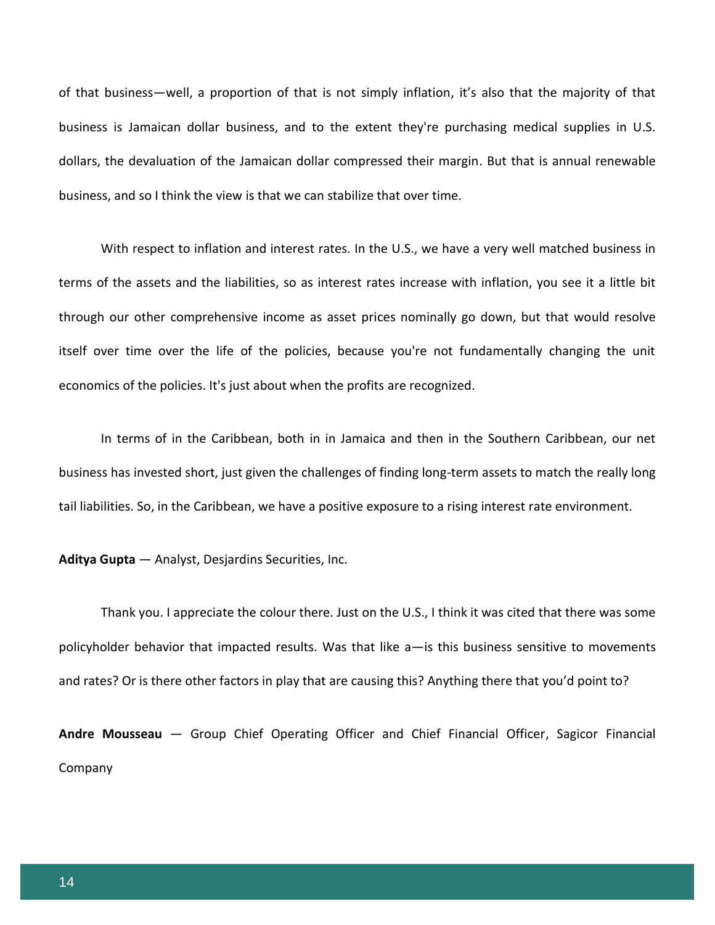of that business—well, a proportion of that is not simply inflation, it's also that the majority of that business is Jamaican dollar business, and to the extent they're purchasing medical supplies in U.S. dollars, the devaluation of the Jamaican dollar compressed their margin. But that is annual renewable business, and so I think the view is that we can stabilize that over time.

With respect to inflation and interest rates. In the U.S., we have a very well matched business in terms of the assets and the liabilities, so as interest rates increase with inflation, you see it a little bit through our other comprehensive income as asset prices nominally go down, but that would resolve itself over time over the life of the policies, because you're not fundamentally changing the unit economics of the policies. It's just about when the profits are recognized.

In terms of in the Caribbean, both in in Jamaica and then in the Southern Caribbean, our net business has invested short, just given the challenges of finding long-term assets to match the really long tail liabilities. So, in the Caribbean, we have a positive exposure to a rising interest rate environment.

**Aditya Gupta** — Analyst, Desjardins Securities, Inc.

Thank you. I appreciate the colour there. Just on the U.S., I think it was cited that there was some policyholder behavior that impacted results. Was that like a—is this business sensitive to movements and rates? Or is there other factors in play that are causing this? Anything there that you'd point to?

**Andre Mousseau** — Group Chief Operating Officer and Chief Financial Officer, Sagicor Financial Company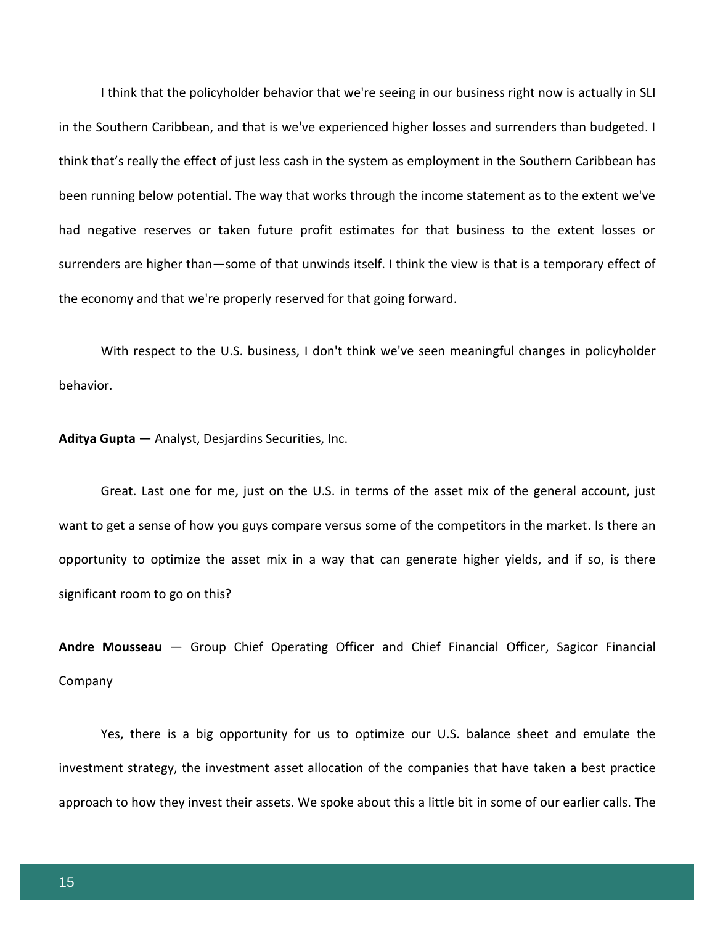I think that the policyholder behavior that we're seeing in our business right now is actually in SLI in the Southern Caribbean, and that is we've experienced higher losses and surrenders than budgeted. I think that's really the effect of just less cash in the system as employment in the Southern Caribbean has been running below potential. The way that works through the income statement as to the extent we've had negative reserves or taken future profit estimates for that business to the extent losses or surrenders are higher than—some of that unwinds itself. I think the view is that is a temporary effect of the economy and that we're properly reserved for that going forward.

With respect to the U.S. business, I don't think we've seen meaningful changes in policyholder behavior.

**Aditya Gupta** — Analyst, Desjardins Securities, Inc.

Great. Last one for me, just on the U.S. in terms of the asset mix of the general account, just want to get a sense of how you guys compare versus some of the competitors in the market. Is there an opportunity to optimize the asset mix in a way that can generate higher yields, and if so, is there significant room to go on this?

**Andre Mousseau** — Group Chief Operating Officer and Chief Financial Officer, Sagicor Financial Company

Yes, there is a big opportunity for us to optimize our U.S. balance sheet and emulate the investment strategy, the investment asset allocation of the companies that have taken a best practice approach to how they invest their assets. We spoke about this a little bit in some of our earlier calls. The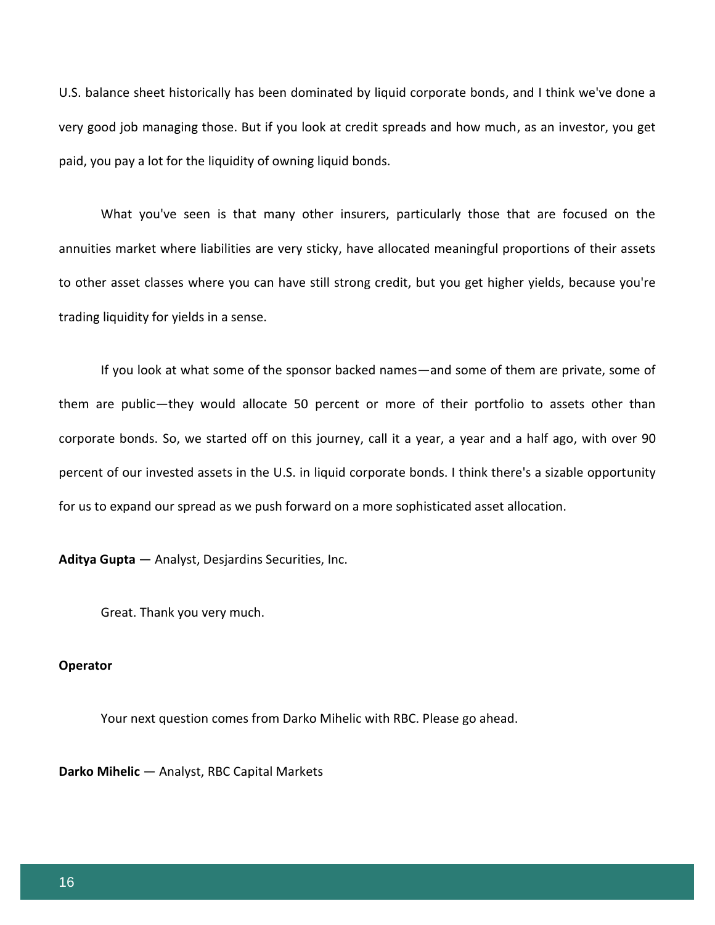U.S. balance sheet historically has been dominated by liquid corporate bonds, and I think we've done a very good job managing those. But if you look at credit spreads and how much, as an investor, you get paid, you pay a lot for the liquidity of owning liquid bonds.

What you've seen is that many other insurers, particularly those that are focused on the annuities market where liabilities are very sticky, have allocated meaningful proportions of their assets to other asset classes where you can have still strong credit, but you get higher yields, because you're trading liquidity for yields in a sense.

If you look at what some of the sponsor backed names—and some of them are private, some of them are public—they would allocate 50 percent or more of their portfolio to assets other than corporate bonds. So, we started off on this journey, call it a year, a year and a half ago, with over 90 percent of our invested assets in the U.S. in liquid corporate bonds. I think there's a sizable opportunity for us to expand our spread as we push forward on a more sophisticated asset allocation.

**Aditya Gupta** — Analyst, Desjardins Securities, Inc.

Great. Thank you very much.

# **Operator**

Your next question comes from Darko Mihelic with RBC. Please go ahead.

**Darko Mihelic** — Analyst, RBC Capital Markets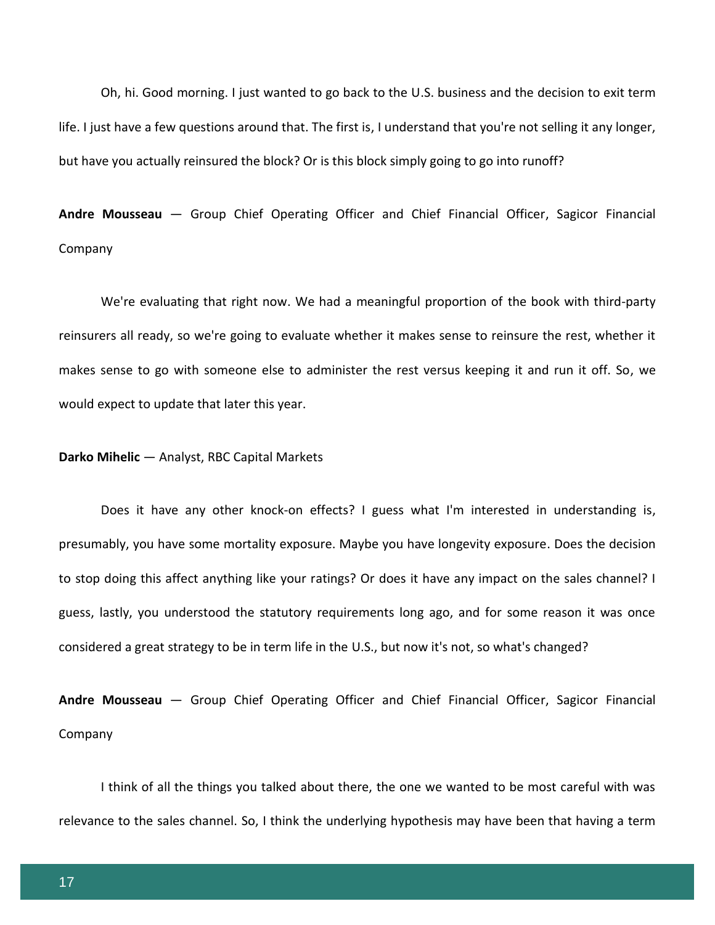Oh, hi. Good morning. I just wanted to go back to the U.S. business and the decision to exit term life. I just have a few questions around that. The first is, I understand that you're not selling it any longer, but have you actually reinsured the block? Or is this block simply going to go into runoff?

**Andre Mousseau** — Group Chief Operating Officer and Chief Financial Officer, Sagicor Financial Company

We're evaluating that right now. We had a meaningful proportion of the book with third-party reinsurers all ready, so we're going to evaluate whether it makes sense to reinsure the rest, whether it makes sense to go with someone else to administer the rest versus keeping it and run it off. So, we would expect to update that later this year.

# **Darko Mihelic** — Analyst, RBC Capital Markets

Does it have any other knock-on effects? I guess what I'm interested in understanding is, presumably, you have some mortality exposure. Maybe you have longevity exposure. Does the decision to stop doing this affect anything like your ratings? Or does it have any impact on the sales channel? I guess, lastly, you understood the statutory requirements long ago, and for some reason it was once considered a great strategy to be in term life in the U.S., but now it's not, so what's changed?

**Andre Mousseau** — Group Chief Operating Officer and Chief Financial Officer, Sagicor Financial Company

I think of all the things you talked about there, the one we wanted to be most careful with was relevance to the sales channel. So, I think the underlying hypothesis may have been that having a term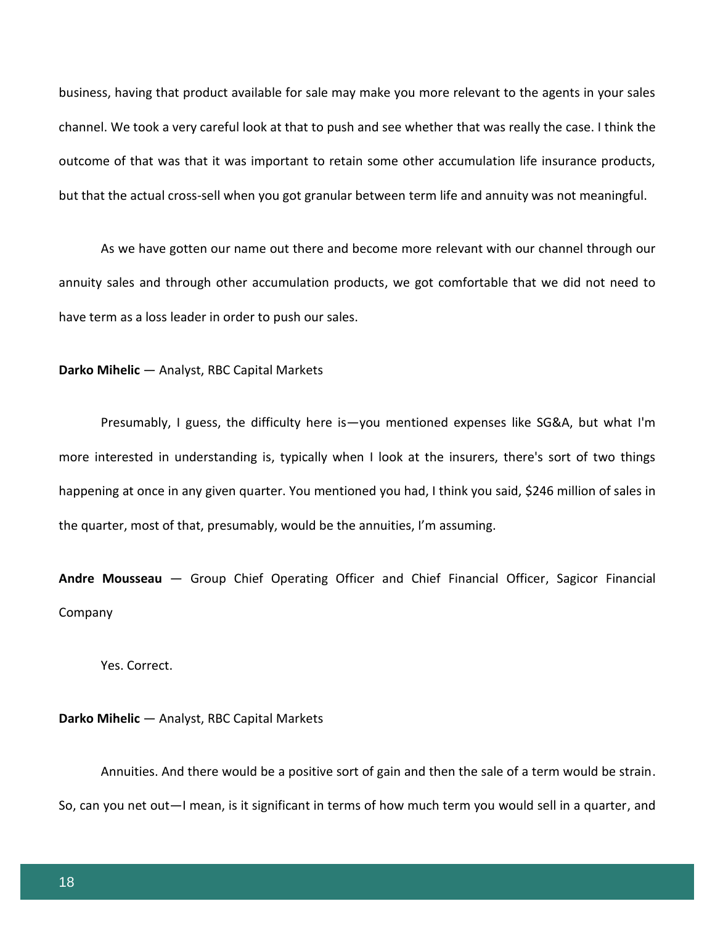business, having that product available for sale may make you more relevant to the agents in your sales channel. We took a very careful look at that to push and see whether that was really the case. I think the outcome of that was that it was important to retain some other accumulation life insurance products, but that the actual cross-sell when you got granular between term life and annuity was not meaningful.

As we have gotten our name out there and become more relevant with our channel through our annuity sales and through other accumulation products, we got comfortable that we did not need to have term as a loss leader in order to push our sales.

### **Darko Mihelic** — Analyst, RBC Capital Markets

Presumably, I guess, the difficulty here is—you mentioned expenses like SG&A, but what I'm more interested in understanding is, typically when I look at the insurers, there's sort of two things happening at once in any given quarter. You mentioned you had, I think you said, \$246 million of sales in the quarter, most of that, presumably, would be the annuities, I'm assuming.

**Andre Mousseau** — Group Chief Operating Officer and Chief Financial Officer, Sagicor Financial Company

Yes. Correct.

### **Darko Mihelic** — Analyst, RBC Capital Markets

Annuities. And there would be a positive sort of gain and then the sale of a term would be strain. So, can you net out—I mean, is it significant in terms of how much term you would sell in a quarter, and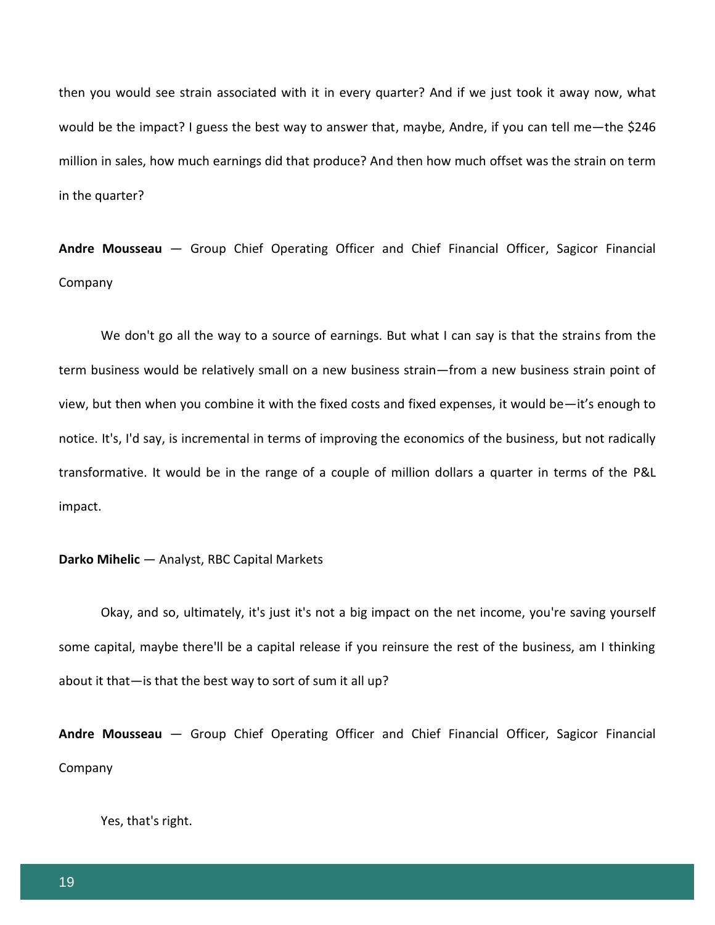then you would see strain associated with it in every quarter? And if we just took it away now, what would be the impact? I guess the best way to answer that, maybe, Andre, if you can tell me—the \$246 million in sales, how much earnings did that produce? And then how much offset was the strain on term in the quarter?

**Andre Mousseau** — Group Chief Operating Officer and Chief Financial Officer, Sagicor Financial Company

We don't go all the way to a source of earnings. But what I can say is that the strains from the term business would be relatively small on a new business strain—from a new business strain point of view, but then when you combine it with the fixed costs and fixed expenses, it would be—it's enough to notice. It's, I'd say, is incremental in terms of improving the economics of the business, but not radically transformative. It would be in the range of a couple of million dollars a quarter in terms of the P&L impact.

# **Darko Mihelic** — Analyst, RBC Capital Markets

Okay, and so, ultimately, it's just it's not a big impact on the net income, you're saving yourself some capital, maybe there'll be a capital release if you reinsure the rest of the business, am I thinking about it that—is that the best way to sort of sum it all up?

**Andre Mousseau** — Group Chief Operating Officer and Chief Financial Officer, Sagicor Financial Company

Yes, that's right.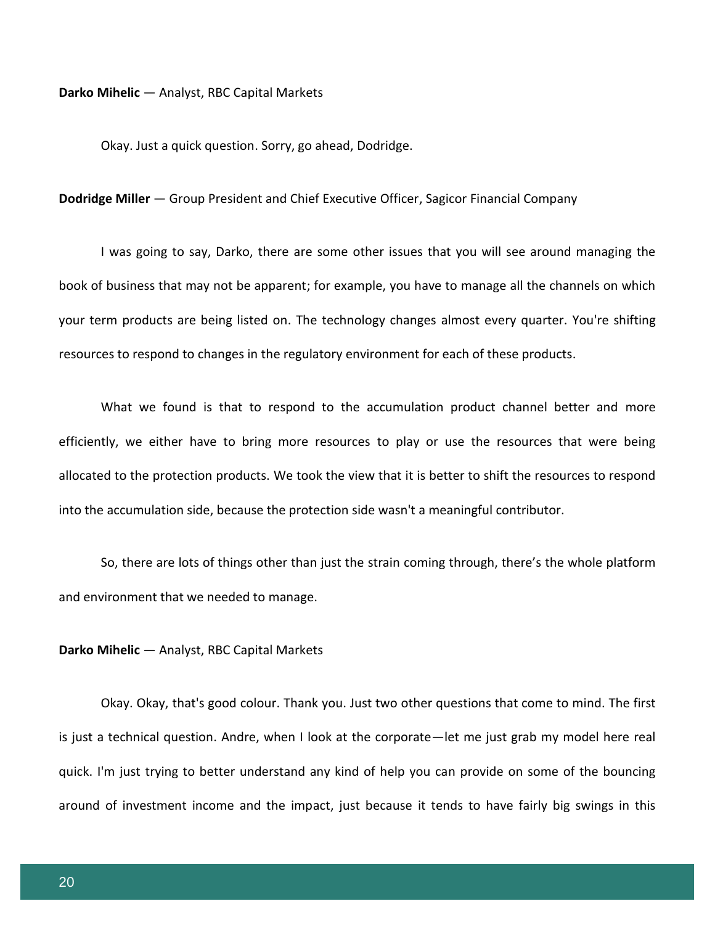### **Darko Mihelic** — Analyst, RBC Capital Markets

Okay. Just a quick question. Sorry, go ahead, Dodridge.

### **Dodridge Miller** — Group President and Chief Executive Officer, Sagicor Financial Company

I was going to say, Darko, there are some other issues that you will see around managing the book of business that may not be apparent; for example, you have to manage all the channels on which your term products are being listed on. The technology changes almost every quarter. You're shifting resources to respond to changes in the regulatory environment for each of these products.

What we found is that to respond to the accumulation product channel better and more efficiently, we either have to bring more resources to play or use the resources that were being allocated to the protection products. We took the view that it is better to shift the resources to respond into the accumulation side, because the protection side wasn't a meaningful contributor.

So, there are lots of things other than just the strain coming through, there's the whole platform and environment that we needed to manage.

# **Darko Mihelic** — Analyst, RBC Capital Markets

Okay. Okay, that's good colour. Thank you. Just two other questions that come to mind. The first is just a technical question. Andre, when I look at the corporate—let me just grab my model here real quick. I'm just trying to better understand any kind of help you can provide on some of the bouncing around of investment income and the impact, just because it tends to have fairly big swings in this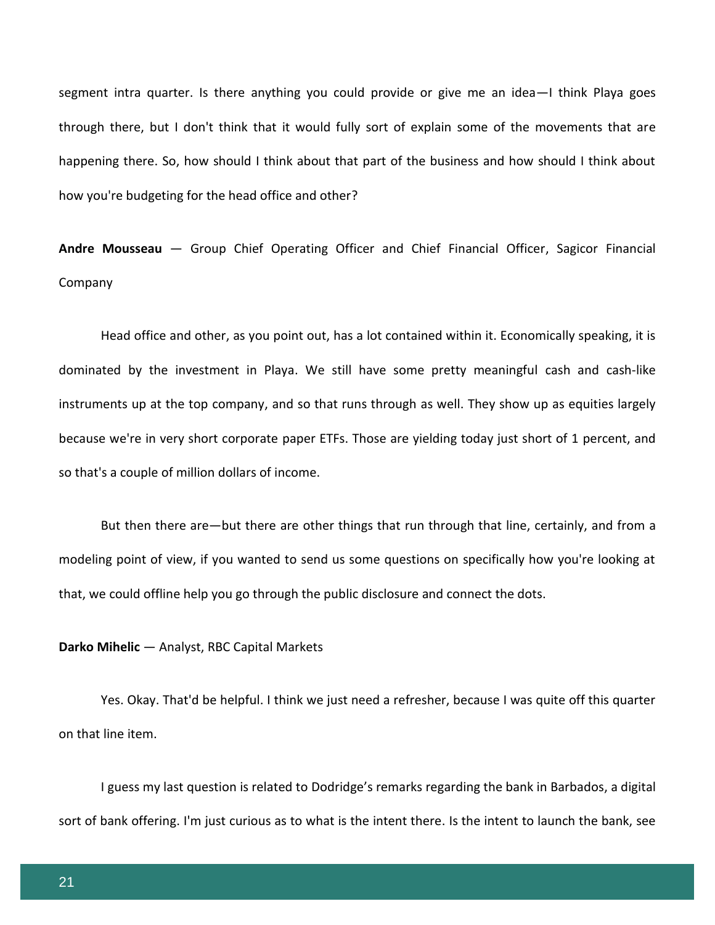segment intra quarter. Is there anything you could provide or give me an idea—I think Playa goes through there, but I don't think that it would fully sort of explain some of the movements that are happening there. So, how should I think about that part of the business and how should I think about how you're budgeting for the head office and other?

**Andre Mousseau** — Group Chief Operating Officer and Chief Financial Officer, Sagicor Financial Company

Head office and other, as you point out, has a lot contained within it. Economically speaking, it is dominated by the investment in Playa. We still have some pretty meaningful cash and cash-like instruments up at the top company, and so that runs through as well. They show up as equities largely because we're in very short corporate paper ETFs. Those are yielding today just short of 1 percent, and so that's a couple of million dollars of income.

But then there are—but there are other things that run through that line, certainly, and from a modeling point of view, if you wanted to send us some questions on specifically how you're looking at that, we could offline help you go through the public disclosure and connect the dots.

### **Darko Mihelic** — Analyst, RBC Capital Markets

Yes. Okay. That'd be helpful. I think we just need a refresher, because I was quite off this quarter on that line item.

I guess my last question is related to Dodridge's remarks regarding the bank in Barbados, a digital sort of bank offering. I'm just curious as to what is the intent there. Is the intent to launch the bank, see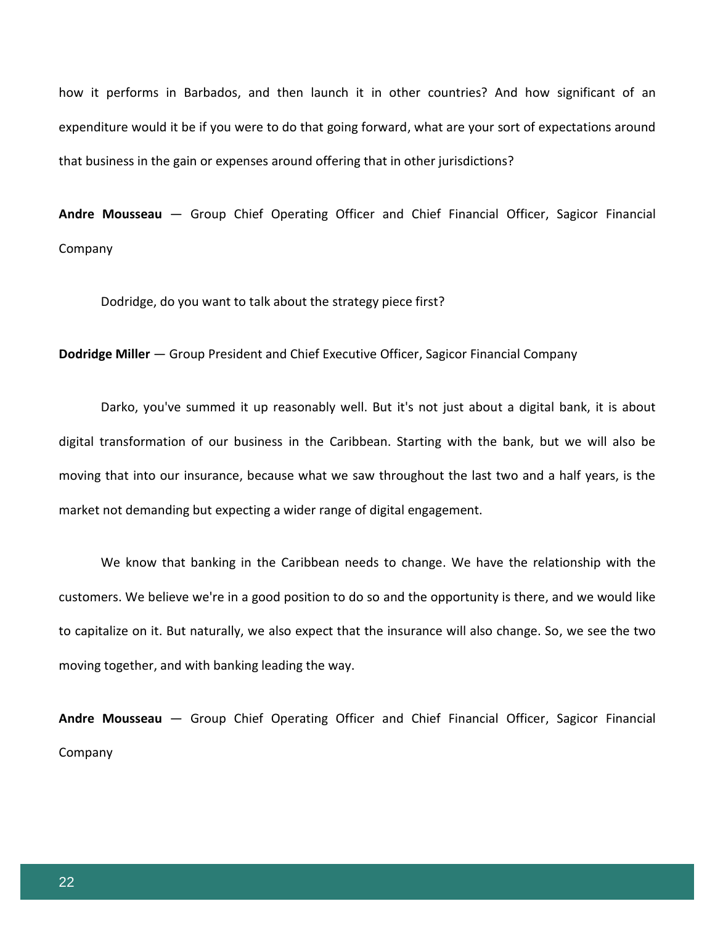how it performs in Barbados, and then launch it in other countries? And how significant of an expenditure would it be if you were to do that going forward, what are your sort of expectations around that business in the gain or expenses around offering that in other jurisdictions?

**Andre Mousseau** — Group Chief Operating Officer and Chief Financial Officer, Sagicor Financial Company

Dodridge, do you want to talk about the strategy piece first?

**Dodridge Miller** — Group President and Chief Executive Officer, Sagicor Financial Company

Darko, you've summed it up reasonably well. But it's not just about a digital bank, it is about digital transformation of our business in the Caribbean. Starting with the bank, but we will also be moving that into our insurance, because what we saw throughout the last two and a half years, is the market not demanding but expecting a wider range of digital engagement.

We know that banking in the Caribbean needs to change. We have the relationship with the customers. We believe we're in a good position to do so and the opportunity is there, and we would like to capitalize on it. But naturally, we also expect that the insurance will also change. So, we see the two moving together, and with banking leading the way.

**Andre Mousseau** — Group Chief Operating Officer and Chief Financial Officer, Sagicor Financial Company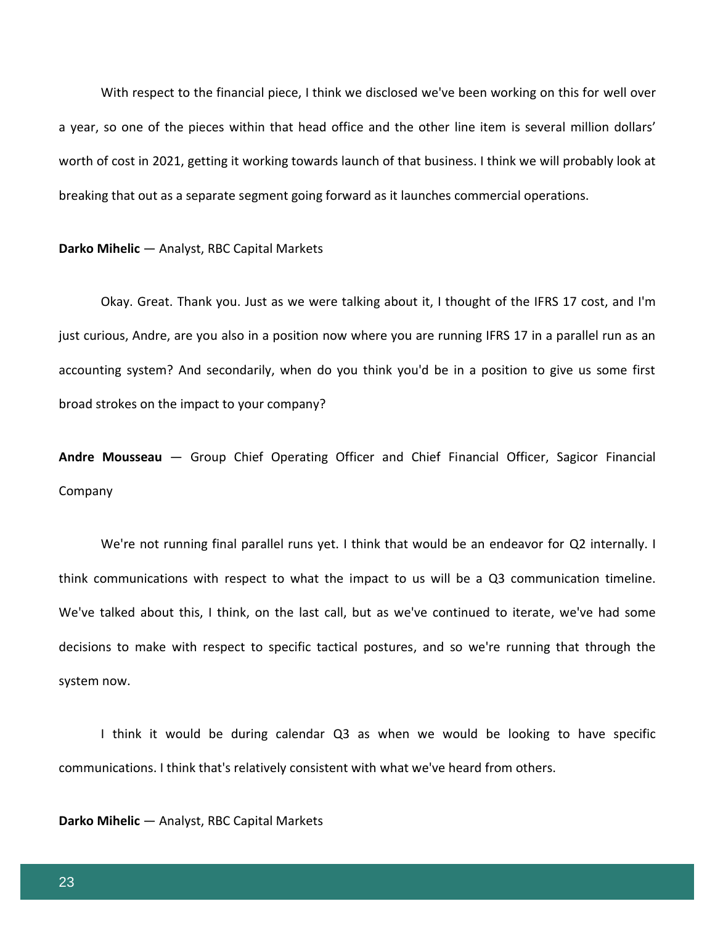With respect to the financial piece, I think we disclosed we've been working on this for well over a year, so one of the pieces within that head office and the other line item is several million dollars' worth of cost in 2021, getting it working towards launch of that business. I think we will probably look at breaking that out as a separate segment going forward as it launches commercial operations.

### **Darko Mihelic** — Analyst, RBC Capital Markets

Okay. Great. Thank you. Just as we were talking about it, I thought of the IFRS 17 cost, and I'm just curious, Andre, are you also in a position now where you are running IFRS 17 in a parallel run as an accounting system? And secondarily, when do you think you'd be in a position to give us some first broad strokes on the impact to your company?

**Andre Mousseau** — Group Chief Operating Officer and Chief Financial Officer, Sagicor Financial Company

We're not running final parallel runs yet. I think that would be an endeavor for Q2 internally. I think communications with respect to what the impact to us will be a Q3 communication timeline. We've talked about this, I think, on the last call, but as we've continued to iterate, we've had some decisions to make with respect to specific tactical postures, and so we're running that through the system now.

I think it would be during calendar Q3 as when we would be looking to have specific communications. I think that's relatively consistent with what we've heard from others.

# **Darko Mihelic** — Analyst, RBC Capital Markets